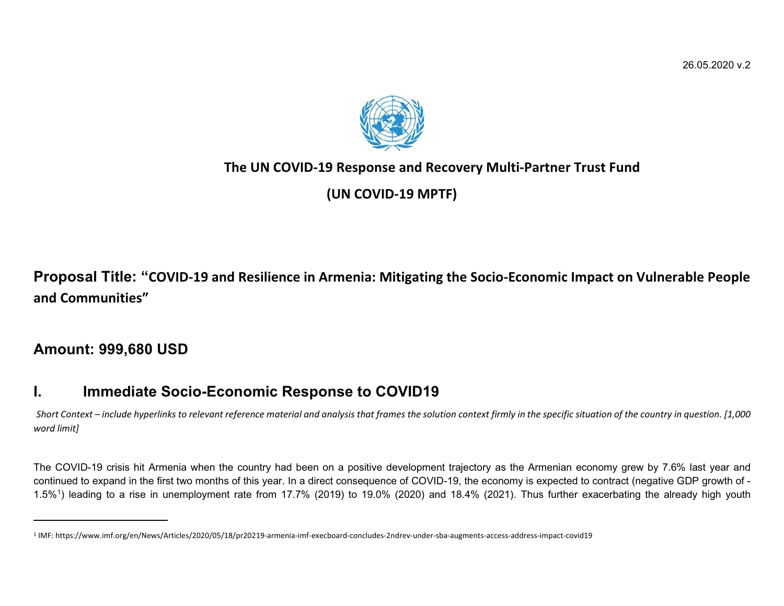

## **The UN COVID-19 Response and Recovery Multi-Partner Trust Fund**

**(UN COVID-19 MPTF)** 

**Proposal Title: "COVID-19 and Resilience in Armenia: Mitigating the Socio-Economic Impact on Vulnerable People and Communities"**

**Amount: 999,680 USD**

# **I. Immediate Socio-Economic Response to COVID19**

*Short Context – include hyperlinks to relevant reference material and analysis that frames the solution context firmly in the specific situation of the country in question. [1,000 word limit]* 

The COVID-19 crisis hit Armenia when the country had been on a positive development trajectory as the Armenian economy grew by 7.6% last year and continued to expand in the first two months of this year. In a direct consequence of COVID-19, the economy is expected to contract (negative GDP growth of - 1.5%1) leading to a rise in unemployment rate from 17.7% (2019) to 19.0% (2020) and 18.4% (2021). Thus further exacerbating the already high youth

<sup>1</sup> IMF: https://www.imf.org/en/News/Articles/2020/05/18/pr20219-armenia-imf-execboard-concludes-2ndrev-under-sba-augments-access-address-impact-covid19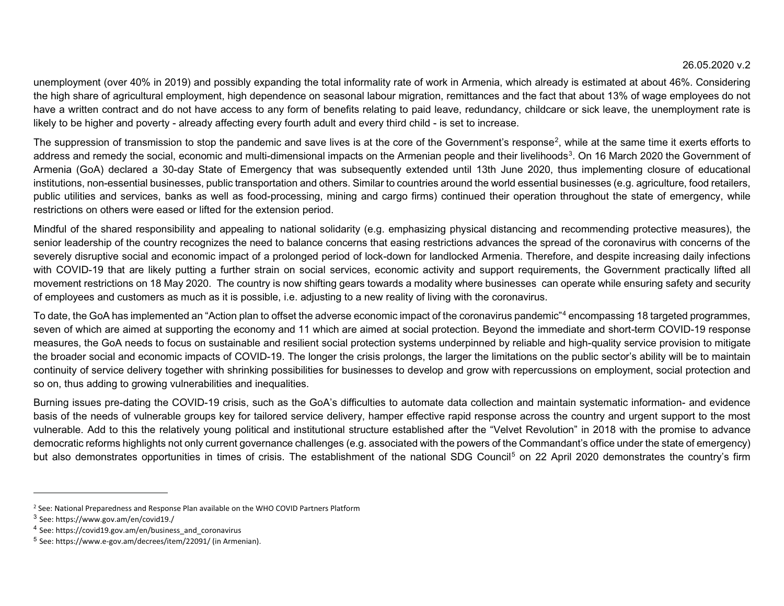unemployment (over 40% in 2019) and possibly expanding the total informality rate of work in Armenia, which already is estimated at about 46%. Considering the high share of agricultural employment, high dependence on seasonal labour migration, remittances and the fact that about 13% of wage employees do not have a written contract and do not have access to any form of benefits relating to paid leave, redundancy, childcare or sick leave, the unemployment rate is likely to be higher and poverty - already affecting every fourth adult and every third child - is set to increase.

The suppression of transmission to stop the pandemic and save lives is at the core of the Government's response<sup>2</sup>, while at the same time it exerts efforts to address and remedy the social, economic and multi-dimensional impacts on the Armenian people and their livelihoods<sup>3</sup>. On 16 March 2020 the Government of Armenia (GoA) declared a 30-day State of Emergency that was subsequently extended until 13th June 2020, thus implementing closure of educational institutions, non-essential businesses, public transportation and others. Similar to countries around the world essential businesses (e.g. agriculture, food retailers, public utilities and services, banks as well as food-processing, mining and cargo firms) continued their operation throughout the state of emergency, while restrictions on others were eased or lifted for the extension period.

Mindful of the shared responsibility and appealing to national solidarity (e.g. emphasizing physical distancing and recommending protective measures), the senior leadership of the country recognizes the need to balance concerns that easing restrictions advances the spread of the coronavirus with concerns of the severely disruptive social and economic impact of a prolonged period of lock-down for landlocked Armenia. Therefore, and despite increasing daily infections with COVID-19 that are likely putting a further strain on social services, economic activity and support requirements, the Government practically lifted all movement restrictions on 18 May 2020. The country is now shifting gears towards a modality where businesses can operate while ensuring safety and security of employees and customers as much as it is possible, i.e. adjusting to a new reality of living with the coronavirus.

To date, the GoA has implemented an "Action plan to offset the adverse economic impact of the coronavirus pandemic"4 encompassing 18 targeted programmes, seven of which are aimed at supporting the economy and 11 which are aimed at social protection. Beyond the immediate and short-term COVID-19 response measures, the GoA needs to focus on sustainable and resilient social protection systems underpinned by reliable and high-quality service provision to mitigate the broader social and economic impacts of COVID-19. The longer the crisis prolongs, the larger the limitations on the public sector's ability will be to maintain continuity of service delivery together with shrinking possibilities for businesses to develop and grow with repercussions on employment, social protection and so on, thus adding to growing vulnerabilities and inequalities.

Burning issues pre-dating the COVID-19 crisis, such as the GoA's difficulties to automate data collection and maintain systematic information- and evidence basis of the needs of vulnerable groups key for tailored service delivery, hamper effective rapid response across the country and urgent support to the most vulnerable. Add to this the relatively young political and institutional structure established after the "Velvet Revolution" in 2018 with the promise to advance democratic reforms highlights not only current governance challenges (e.g. associated with the powers of the Commandant's office under the state of emergency) but also demonstrates opportunities in times of crisis. The establishment of the national SDG Council<sup>5</sup> on 22 April 2020 demonstrates the country's firm

<sup>2</sup> See: National Preparedness and Response Plan available on the WHO COVID Partners Platform

<sup>3</sup> See: https://www.gov.am/en/covid19./

<sup>&</sup>lt;sup>4</sup> See: https://covid19.gov.am/en/business\_and\_coronavirus

<sup>&</sup>lt;sup>5</sup> See: https://www.e-gov.am/decrees/item/22091/ (in Armenian).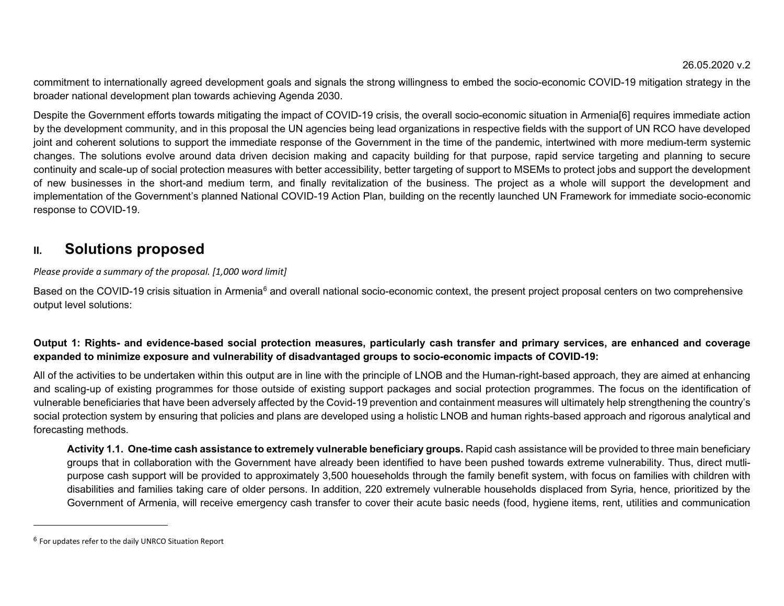commitment to internationally agreed development goals and signals the strong willingness to embed the socio-economic COVID-19 mitigation strategy in the broader national development plan towards achieving Agenda 2030.

Despite the Government efforts towards mitigating the impact of COVID-19 crisis, the overall socio-economic situation in Armenia[6] requires immediate action by the development community, and in this proposal the UN agencies being lead organizations in respective fields with the support of UN RCO have developed joint and coherent solutions to support the immediate response of the Government in the time of the pandemic, intertwined with more medium-term systemic changes. The solutions evolve around data driven decision making and capacity building for that purpose, rapid service targeting and planning to secure continuity and scale-up of social protection measures with better accessibility, better targeting of support to MSEMs to protect jobs and support the development of new businesses in the short-and medium term, and finally revitalization of the business. The project as a whole will support the development and implementation of the Government's planned National COVID-19 Action Plan, building on the recently launched UN Framework for immediate socio-economic response to COVID-19.

## **II. Solutions proposed**

### *Please provide a summary of the proposal. [1,000 word limit]*

Based on the COVID-19 crisis situation in Armenia<sup>6</sup> and overall national socio-economic context, the present project proposal centers on two comprehensive output level solutions:

## **Output 1: Rights- and evidence-based social protection measures, particularly cash transfer and primary services, are enhanced and coverage expanded to minimize exposure and vulnerability of disadvantaged groups to socio-economic impacts of COVID-19:**

All of the activities to be undertaken within this output are in line with the principle of LNOB and the Human-right-based approach, they are aimed at enhancing and scaling-up of existing programmes for those outside of existing support packages and social protection programmes. The focus on the identification of vulnerable beneficiaries that have been adversely affected by the Covid-19 prevention and containment measures will ultimately help strengthening the country's social protection system by ensuring that policies and plans are developed using a holistic LNOB and human rights-based approach and rigorous analytical and forecasting methods.

**Activity 1.1. One-time cash assistance to extremely vulnerable beneficiary groups.** Rapid cash assistance will be provided to three main beneficiary groups that in collaboration with the Government have already been identified to have been pushed towards extreme vulnerability. Thus, direct mutlipurpose cash support will be provided to approximately 3,500 houeseholds through the family benefit system, with focus on families with children with disabilities and families taking care of older persons. In addition, 220 extremely vulnerable households displaced from Syria, hence, prioritized by the Government of Armenia, will receive emergency cash transfer to cover their acute basic needs (food, hygiene items, rent, utilities and communication

 $^6$  For updates refer to the daily UNRCO Situation Report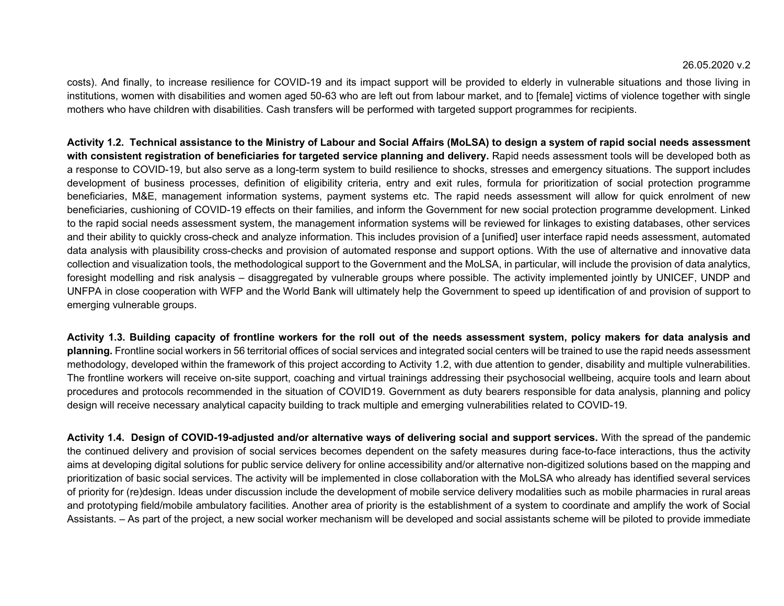costs). And finally, to increase resilience for COVID-19 and its impact support will be provided to elderly in vulnerable situations and those living in institutions, women with disabilities and women aged 50-63 who are left out from labour market, and to [female] victims of violence together with single mothers who have children with disabilities. Cash transfers will be performed with targeted support programmes for recipients.

**Activity 1.2. Technical assistance to the Ministry of Labour and Social Affairs (MoLSA) to design a system of rapid social needs assessment** with consistent registration of beneficiaries for targeted service planning and delivery. Rapid needs assessment tools will be developed both as a response to COVID-19, but also serve as a long-term system to build resilience to shocks, stresses and emergency situations. The support includes development of business processes, definition of eligibility criteria, entry and exit rules, formula for prioritization of social protection programme beneficiaries, M&E, management information systems, payment systems etc. The rapid needs assessment will allow for quick enrolment of new beneficiaries, cushioning of COVID-19 effects on their families, and inform the Government for new social protection programme development. Linked to the rapid social needs assessment system, the management information systems will be reviewed for linkages to existing databases, other services and their ability to quickly cross-check and analyze information. This includes provision of a [unified] user interface rapid needs assessment, automated data analysis with plausibility cross-checks and provision of automated response and support options. With the use of alternative and innovative data collection and visualization tools, the methodological support to the Government and the MoLSA, in particular, will include the provision of data analytics, foresight modelling and risk analysis – disaggregated by vulnerable groups where possible. The activity implemented jointly by UNICEF, UNDP and UNFPA in close cooperation with WFP and the World Bank will ultimately help the Government to speed up identification of and provision of support to emerging vulnerable groups.

**Activity 1.3. Building capacity of frontline workers for the roll out of the needs assessment system, policy makers for data analysis and planning.** Frontline social workers in 56 territorial offices of social services and integrated social centers will be trained to use the rapid needs assessment methodology, developed within the framework of this project according to Activity 1.2, with due attention to gender, disability and multiple vulnerabilities. The frontline workers will receive on-site support, coaching and virtual trainings addressing their psychosocial wellbeing, acquire tools and learn about procedures and protocols recommended in the situation of COVID19. Government as duty bearers responsible for data analysis, planning and policy design will receive necessary analytical capacity building to track multiple and emerging vulnerabilities related to COVID-19.

**Activity 1.4. Design of COVID-19-adjusted and/or alternative ways of delivering social and support services.** With the spread of the pandemic the continued delivery and provision of social services becomes dependent on the safety measures during face-to-face interactions, thus the activity aims at developing digital solutions for public service delivery for online accessibility and/or alternative non-digitized solutions based on the mapping and prioritization of basic social services. The activity will be implemented in close collaboration with the MoLSA who already has identified several services of priority for (re)design. Ideas under discussion include the development of mobile service delivery modalities such as mobile pharmacies in rural areas and prototyping field/mobile ambulatory facilities. Another area of priority is the establishment of a system to coordinate and amplify the work of Social Assistants. – As part of the project, a new social worker mechanism will be developed and social assistants scheme will be piloted to provide immediate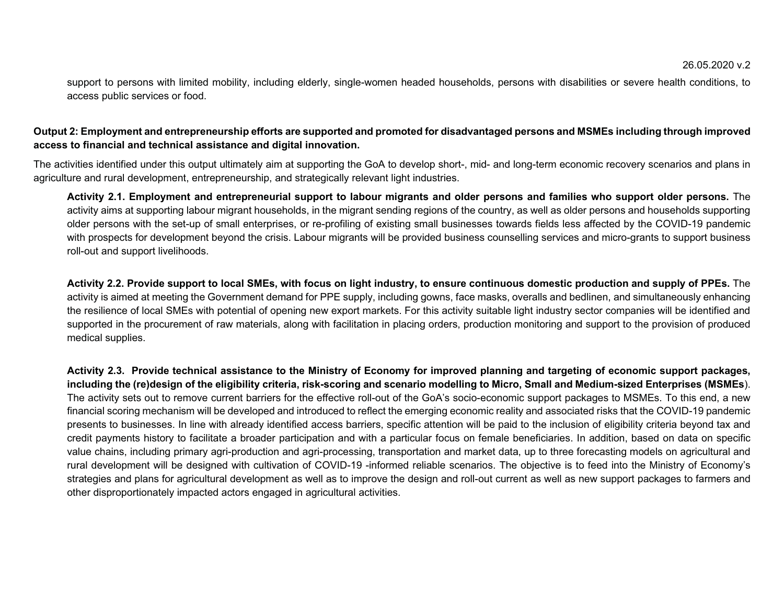support to persons with limited mobility, including elderly, single-women headed households, persons with disabilities or severe health conditions, to access public services or food.

### **Output 2: Employment and entrepreneurship efforts are supported and promoted for disadvantaged persons and MSMEs including through improved access to financial and technical assistance and digital innovation.**

The activities identified under this output ultimately aim at supporting the GoA to develop short-, mid- and long-term economic recovery scenarios and plans in agriculture and rural development, entrepreneurship, and strategically relevant light industries.

**Activity 2.1. Employment and entrepreneurial support to labour migrants and older persons and families who support older persons.** The activity aims at supporting labour migrant households, in the migrant sending regions of the country, as well as older persons and households supporting older persons with the set-up of small enterprises, or re-profiling of existing small businesses towards fields less affected by the COVID-19 pandemic with prospects for development beyond the crisis. Labour migrants will be provided business counselling services and micro-grants to support business roll-out and support livelihoods.

**Activity 2.2. Provide support to local SMEs, with focus on light industry, to ensure continuous domestic production and supply of PPEs.** The activity is aimed at meeting the Government demand for PPE supply, including gowns, face masks, overalls and bedlinen, and simultaneously enhancing the resilience of local SMEs with potential of opening new export markets. For this activity suitable light industry sector companies will be identified and supported in the procurement of raw materials, along with facilitation in placing orders, production monitoring and support to the provision of produced medical supplies.

**Activity 2.3. Provide technical assistance to the Ministry of Economy for improved planning and targeting of economic support packages, including the (re)design of the eligibility criteria, risk-scoring and scenario modelling to Micro, Small and Medium-sized Enterprises (MSMEs**). The activity sets out to remove current barriers for the effective roll-out of the GoA's socio-economic support packages to MSMEs. To this end, a new financial scoring mechanism will be developed and introduced to reflect the emerging economic reality and associated risks that the COVID-19 pandemic presents to businesses. In line with already identified access barriers, specific attention will be paid to the inclusion of eligibility criteria beyond tax and credit payments history to facilitate a broader participation and with a particular focus on female beneficiaries. In addition, based on data on specific value chains, including primary agri-production and agri-processing, transportation and market data, up to three forecasting models on agricultural and rural development will be designed with cultivation of COVID-19 -informed reliable scenarios. The objective is to feed into the Ministry of Economy's strategies and plans for agricultural development as well as to improve the design and roll-out current as well as new support packages to farmers and other disproportionately impacted actors engaged in agricultural activities.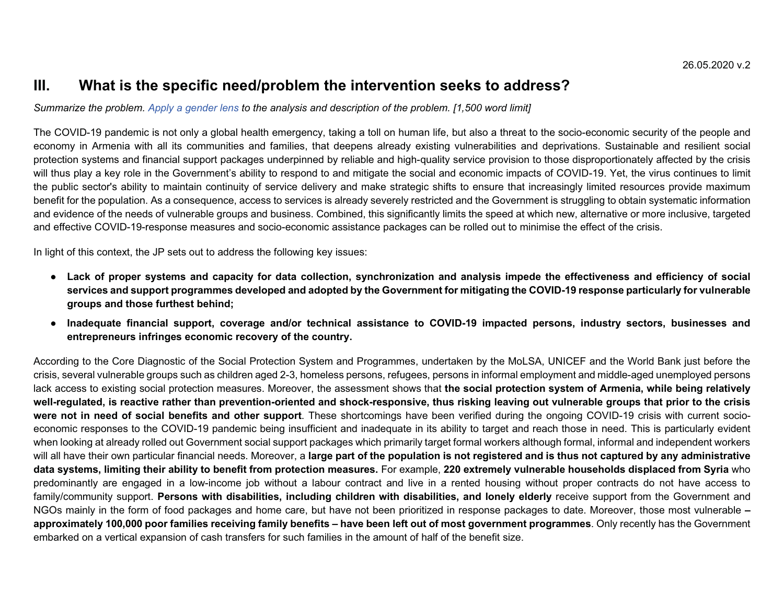## **III. What is the specific need/problem the intervention seeks to address?**

#### *Summarize the problem. Apply a gender lens to the analysis and description of the problem. [1,500 word limit]*

The COVID-19 pandemic is not only a global health emergency, taking a toll on human life, but also a threat to the socio-economic security of the people and economy in Armenia with all its communities and families, that deepens already existing vulnerabilities and deprivations. Sustainable and resilient social protection systems and financial support packages underpinned by reliable and high-quality service provision to those disproportionately affected by the crisis will thus play a key role in the Government's ability to respond to and mitigate the social and economic impacts of COVID-19. Yet, the virus continues to limit the public sector's ability to maintain continuity of service delivery and make strategic shifts to ensure that increasingly limited resources provide maximum benefit for the population. As a consequence, access to services is already severely restricted and the Government is struggling to obtain systematic information and evidence of the needs of vulnerable groups and business. Combined, this significantly limits the speed at which new, alternative or more inclusive, targeted and effective COVID-19-response measures and socio-economic assistance packages can be rolled out to minimise the effect of the crisis.

In light of this context, the JP sets out to address the following key issues:

- **Lack of proper systems and capacity for data collection, synchronization and analysis impede the effectiveness and efficiency of social services and support programmes developed and adopted by the Government for mitigating the COVID-19 response particularly for vulnerable groups and those furthest behind;**
- **Inadequate financial support, coverage and/or technical assistance to COVID-19 impacted persons, industry sectors, businesses and entrepreneurs infringes economic recovery of the country.**

According to the Core Diagnostic of the Social Protection System and Programmes, undertaken by the MoLSA, UNICEF and the World Bank just before the crisis, several vulnerable groups such as children aged 2-3, homeless persons, refugees, persons in informal employment and middle-aged unemployed persons lack access to existing social protection measures. Moreover, the assessment shows that **the social protection system of Armenia, while being relatively well-regulated, is reactive rather than prevention-oriented and shock-responsive, thus risking leaving out vulnerable groups that prior to the crisis were not in need of social benefits and other support**. These shortcomings have been verified during the ongoing COVID-19 crisis with current socioeconomic responses to the COVID-19 pandemic being insufficient and inadequate in its ability to target and reach those in need. This is particularly evident when looking at already rolled out Government social support packages which primarily target formal workers although formal, informal and independent workers will all have their own particular financial needs. Moreover, a **large part of the population is not registered and is thus not captured by any administrative data systems, limiting their ability to benefit from protection measures.** For example, **220 extremely vulnerable households displaced from Syria** who predominantly are engaged in a low-income job without a labour contract and live in a rented housing without proper contracts do not have access to family/community support. Persons with disabilities, including children with disabilities, and lonely elderly receive support from the Government and NGOs mainly in the form of food packages and home care, but have not been prioritized in response packages to date. Moreover, those most vulnerable **– approximately 100,000 poor families receiving family benefits – have been left out of most government programmes**. Only recently has the Government embarked on a vertical expansion of cash transfers for such families in the amount of half of the benefit size.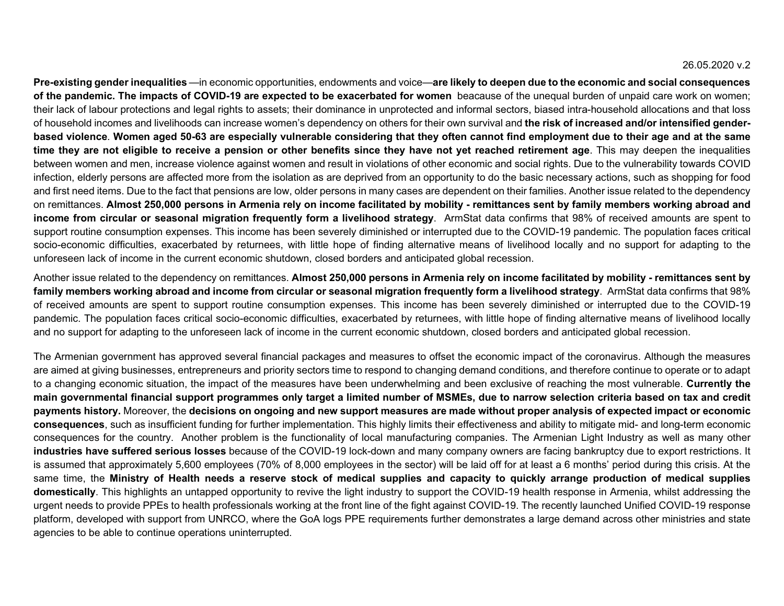**Pre-existing gender inequalities** —in economic opportunities, endowments and voice—**are likely to deepen due to the economic and social consequences of the pandemic. The impacts of COVID-19 are expected to be exacerbated for women** beacause of the unequal burden of unpaid care work on women; their lack of labour protections and legal rights to assets; their dominance in unprotected and informal sectors, biased intra-household allocations and that loss of household incomes and livelihoods can increase women's dependency on others for their own survival and **the risk of increased and/or intensified genderbased violence**. **Women aged 50-63 are especially vulnerable considering that they often cannot find employment due to their age and at the same time they are not eligible to receive a pension or other benefits since they have not yet reached retirement age**. This may deepen the inequalities between women and men, increase violence against women and result in violations of other economic and social rights. Due to the vulnerability towards COVID infection, elderly persons are affected more from the isolation as are deprived from an opportunity to do the basic necessary actions, such as shopping for food and first need items. Due to the fact that pensions are low, older persons in many cases are dependent on their families. Another issue related to the dependency on remittances. **Almost 250,000 persons in Armenia rely on income facilitated by mobility - remittances sent by family members working abroad and income from circular or seasonal migration frequently form a livelihood strategy**. ArmStat data confirms that 98% of received amounts are spent to support routine consumption expenses. This income has been severely diminished or interrupted due to the COVID-19 pandemic. The population faces critical socio-economic difficulties, exacerbated by returnees, with little hope of finding alternative means of livelihood locally and no support for adapting to the unforeseen lack of income in the current economic shutdown, closed borders and anticipated global recession.

Another issue related to the dependency on remittances. **Almost 250,000 persons in Armenia rely on income facilitated by mobility - remittances sent by family members working abroad and income from circular or seasonal migration frequently form a livelihood strategy**. ArmStat data confirms that 98% of received amounts are spent to support routine consumption expenses. This income has been severely diminished or interrupted due to the COVID-19 pandemic. The population faces critical socio-economic difficulties, exacerbated by returnees, with little hope of finding alternative means of livelihood locally and no support for adapting to the unforeseen lack of income in the current economic shutdown, closed borders and anticipated global recession.

The Armenian government has approved several financial packages and measures to offset the economic impact of the coronavirus. Although the measures are aimed at giving businesses, entrepreneurs and priority sectors time to respond to changing demand conditions, and therefore continue to operate or to adapt to a changing economic situation, the impact of the measures have been underwhelming and been exclusive of reaching the most vulnerable. **Currently the main governmental financial support programmes only target a limited number of MSMEs, due to narrow selection criteria based on tax and credit payments history.** Moreover, the **decisions on ongoing and new support measures are made without proper analysis of expected impact or economic consequences**, such as insufficient funding for further implementation. This highly limits their effectiveness and ability to mitigate mid- and long-term economic consequences for the country. Another problem is the functionality of local manufacturing companies. The Armenian Light Industry as well as many other **industries have suffered serious losses** because of the COVID-19 lock-down and many company owners are facing bankruptcy due to export restrictions. It is assumed that approximately 5,600 employees (70% of 8,000 employees in the sector) will be laid off for at least a 6 months' period during this crisis. At the same time, the **Ministry of Health needs a reserve stock of medical supplies and capacity to quickly arrange production of medical supplies domestically**. This highlights an untapped opportunity to revive the light industry to support the COVID-19 health response in Armenia, whilst addressing the urgent needs to provide PPEs to health professionals working at the front line of the fight against COVID-19. The recently launched Unified COVID-19 response platform, developed with support from UNRCO, where the GoA logs PPE requirements further demonstrates a large demand across other ministries and state agencies to be able to continue operations uninterrupted.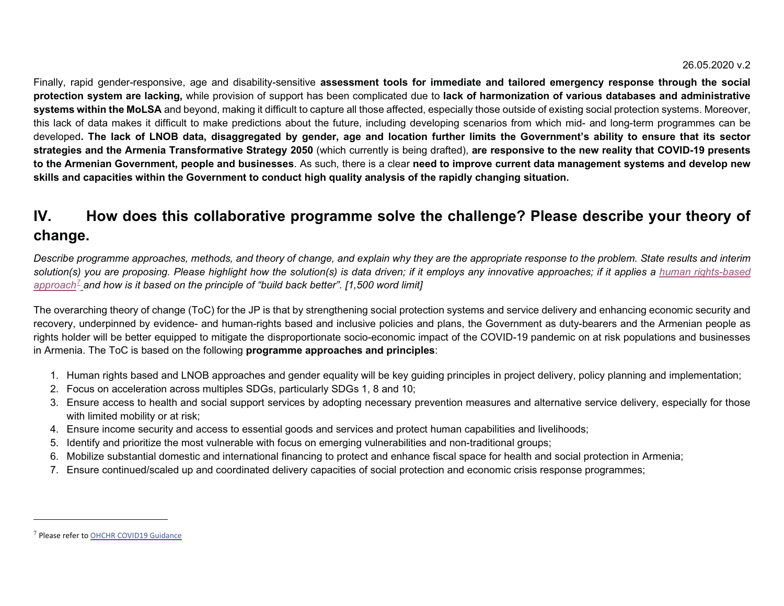Finally, rapid gender-responsive, age and disability-sensitive **assessment tools for immediate and tailored emergency response through the social protection system are lacking,** while provision of support has been complicated due to **lack of harmonization of various databases and administrative systems within the MoLSA** and beyond, making it difficult to capture all those affected, especially those outside of existing social protection systems. Moreover, this lack of data makes it difficult to make predictions about the future, including developing scenarios from which mid- and long-term programmes can be developed**. The lack of LNOB data, disaggregated by gender, age and location further limits the Government's ability to ensure that its sector strategies and the Armenia Transformative Strategy 2050** (which currently is being drafted), **are responsive to the new reality that COVID-19 presents to the Armenian Government, people and businesses**. As such, there is a clear **need to improve current data management systems and develop new skills and capacities within the Government to conduct high quality analysis of the rapidly changing situation.** 

# **IV. How does this collaborative programme solve the challenge? Please describe your theory of change.**

*Describe programme approaches, methods, and theory of change, and explain why they are the appropriate response to the problem. State results and interim solution(s) you are proposing. Please highlight how the solution(s) is data driven; if it employs any innovative approaches; if it applies a human rights-based approach<sup>7</sup> and how is it based on the principle of "build back better". [1,500 word limit]*

The overarching theory of change (ToC) for the JP is that by strengthening social protection systems and service delivery and enhancing economic security and recovery, underpinned by evidence- and human-rights based and inclusive policies and plans, the Government as duty-bearers and the Armenian people as rights holder will be better equipped to mitigate the disproportionate socio-economic impact of the COVID-19 pandemic on at risk populations and businesses in Armenia. The ToC is based on the following **programme approaches and principles**:

- 1. Human rights based and LNOB approaches and gender equality will be key guiding principles in project delivery, policy planning and implementation;
- 2. Focus on acceleration across multiples SDGs, particularly SDGs 1, 8 and 10;
- 3. Ensure access to health and social support services by adopting necessary prevention measures and alternative service delivery, especially for those with limited mobility or at risk;
- 4. Ensure income security and access to essential goods and services and protect human capabilities and livelihoods;
- 5. Identify and prioritize the most vulnerable with focus on emerging vulnerabilities and non-traditional groups;
- 6. Mobilize substantial domestic and international financing to protect and enhance fiscal space for health and social protection in Armenia;
- 7. Ensure continued/scaled up and coordinated delivery capacities of social protection and economic crisis response programmes;

 $7$  Please refer to OHCHR COVID19 Guidance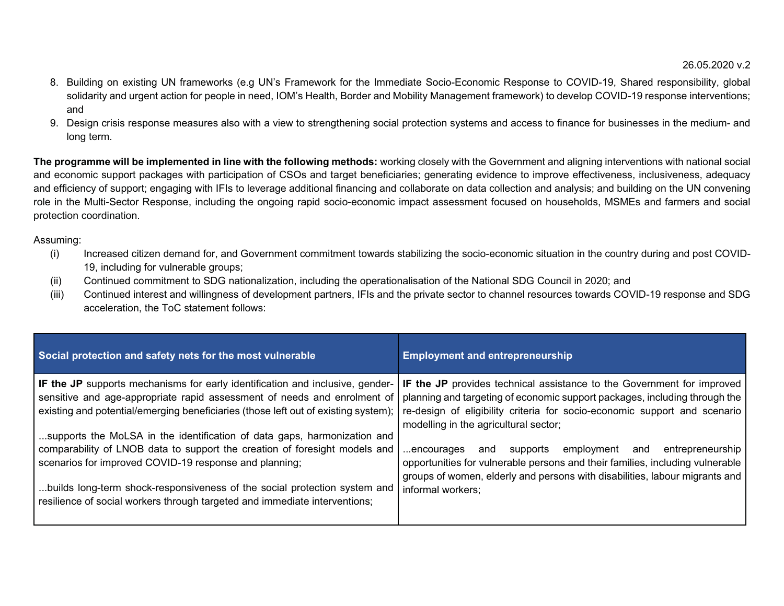- 8. Building on existing UN frameworks (e.g UN's Framework for the Immediate Socio-Economic Response to COVID-19, Shared responsibility, global solidarity and urgent action for people in need, IOM's Health, Border and Mobility Management framework) to develop COVID-19 response interventions; and
- 9. Design crisis response measures also with a view to strengthening social protection systems and access to finance for businesses in the medium- and long term.

**The programme will be implemented in line with the following methods:** working closely with the Government and aligning interventions with national social and economic support packages with participation of CSOs and target beneficiaries; generating evidence to improve effectiveness, inclusiveness, adequacy and efficiency of support; engaging with IFIs to leverage additional financing and collaborate on data collection and analysis; and building on the UN convening role in the Multi-Sector Response, including the ongoing rapid socio-economic impact assessment focused on households, MSMEs and farmers and social protection coordination.

#### Assuming:

- (i) Increased citizen demand for, and Government commitment towards stabilizing the socio-economic situation in the country during and post COVID-19, including for vulnerable groups;
- (ii) Continued commitment to SDG nationalization, including the operationalisation of the National SDG Council in 2020; and
- (iii) Continued interest and willingness of development partners, IFIs and the private sector to channel resources towards COVID-19 response and SDG acceleration, the ToC statement follows:

| Social protection and safety nets for the most vulnerable                                                                                                                                                                                                                                                                                                                   | <b>Employment and entrepreneurship</b>                                                                                                                                                                                                                                     |
|-----------------------------------------------------------------------------------------------------------------------------------------------------------------------------------------------------------------------------------------------------------------------------------------------------------------------------------------------------------------------------|----------------------------------------------------------------------------------------------------------------------------------------------------------------------------------------------------------------------------------------------------------------------------|
| IF the JP supports mechanisms for early identification and inclusive, gender-<br>sensitive and age-appropriate rapid assessment of needs and enrolment of<br>existing and potential/emerging beneficiaries (those left out of existing system);                                                                                                                             | IF the JP provides technical assistance to the Government for improved<br>planning and targeting of economic support packages, including through the<br>re-design of eligibility criteria for socio-economic support and scenario<br>modelling in the agricultural sector; |
| supports the MoLSA in the identification of data gaps, harmonization and<br>comparability of LNOB data to support the creation of foresight models and<br>scenarios for improved COVID-19 response and planning;<br>builds long-term shock-responsiveness of the social protection system and<br>resilience of social workers through targeted and immediate interventions; | entrepreneurship<br>employment and<br>supports<br>encourages<br>and<br>opportunities for vulnerable persons and their families, including vulnerable<br>groups of women, elderly and persons with disabilities, labour migrants and<br>informal workers:                   |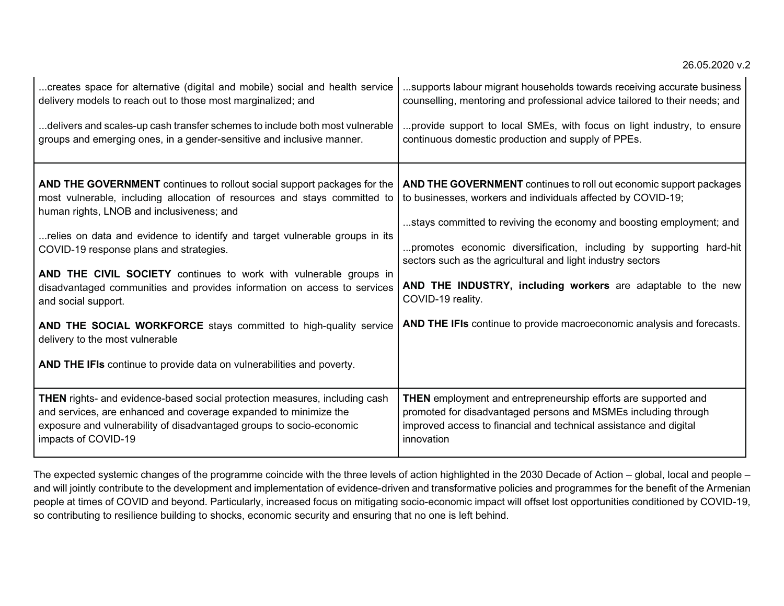| creates space for alternative (digital and mobile) social and health service                                                                                                                                                                                                                                                                                                                                                                                                                                                                                                                                                                                                               | supports labour migrant households towards receiving accurate business                                                                                                                                                                                                                                                                                                                                                                                                                                          |
|--------------------------------------------------------------------------------------------------------------------------------------------------------------------------------------------------------------------------------------------------------------------------------------------------------------------------------------------------------------------------------------------------------------------------------------------------------------------------------------------------------------------------------------------------------------------------------------------------------------------------------------------------------------------------------------------|-----------------------------------------------------------------------------------------------------------------------------------------------------------------------------------------------------------------------------------------------------------------------------------------------------------------------------------------------------------------------------------------------------------------------------------------------------------------------------------------------------------------|
| delivery models to reach out to those most marginalized; and                                                                                                                                                                                                                                                                                                                                                                                                                                                                                                                                                                                                                               | counselling, mentoring and professional advice tailored to their needs; and                                                                                                                                                                                                                                                                                                                                                                                                                                     |
| delivers and scales-up cash transfer schemes to include both most vulnerable                                                                                                                                                                                                                                                                                                                                                                                                                                                                                                                                                                                                               | provide support to local SMEs, with focus on light industry, to ensure                                                                                                                                                                                                                                                                                                                                                                                                                                          |
| groups and emerging ones, in a gender-sensitive and inclusive manner.                                                                                                                                                                                                                                                                                                                                                                                                                                                                                                                                                                                                                      | continuous domestic production and supply of PPEs.                                                                                                                                                                                                                                                                                                                                                                                                                                                              |
| <b>AND THE GOVERNMENT</b> continues to rollout social support packages for the<br>most vulnerable, including allocation of resources and stays committed to<br>human rights, LNOB and inclusiveness; and<br>relies on data and evidence to identify and target vulnerable groups in its<br>COVID-19 response plans and strategies.<br>AND THE CIVIL SOCIETY continues to work with vulnerable groups in<br>disadvantaged communities and provides information on access to services<br>and social support.<br>AND THE SOCIAL WORKFORCE stays committed to high-quality service<br>delivery to the most vulnerable<br>AND THE IFIs continue to provide data on vulnerabilities and poverty. | AND THE GOVERNMENT continues to roll out economic support packages<br>to businesses, workers and individuals affected by COVID-19;<br>stays committed to reviving the economy and boosting employment; and<br>promotes economic diversification, including by supporting hard-hit<br>sectors such as the agricultural and light industry sectors<br>AND THE INDUSTRY, including workers are adaptable to the new<br>COVID-19 reality.<br>AND THE IFIs continue to provide macroeconomic analysis and forecasts. |
| <b>THEN</b> rights- and evidence-based social protection measures, including cash                                                                                                                                                                                                                                                                                                                                                                                                                                                                                                                                                                                                          | THEN employment and entrepreneurship efforts are supported and                                                                                                                                                                                                                                                                                                                                                                                                                                                  |
| and services, are enhanced and coverage expanded to minimize the                                                                                                                                                                                                                                                                                                                                                                                                                                                                                                                                                                                                                           | promoted for disadvantaged persons and MSMEs including through                                                                                                                                                                                                                                                                                                                                                                                                                                                  |
| exposure and vulnerability of disadvantaged groups to socio-economic                                                                                                                                                                                                                                                                                                                                                                                                                                                                                                                                                                                                                       | improved access to financial and technical assistance and digital                                                                                                                                                                                                                                                                                                                                                                                                                                               |
| impacts of COVID-19                                                                                                                                                                                                                                                                                                                                                                                                                                                                                                                                                                                                                                                                        | innovation                                                                                                                                                                                                                                                                                                                                                                                                                                                                                                      |

The expected systemic changes of the programme coincide with the three levels of action highlighted in the 2030 Decade of Action – global, local and people – and will jointly contribute to the development and implementation of evidence-driven and transformative policies and programmes for the benefit of the Armenian people at times of COVID and beyond. Particularly, increased focus on mitigating socio-economic impact will offset lost opportunities conditioned by COVID-19, so contributing to resilience building to shocks, economic security and ensuring that no one is left behind.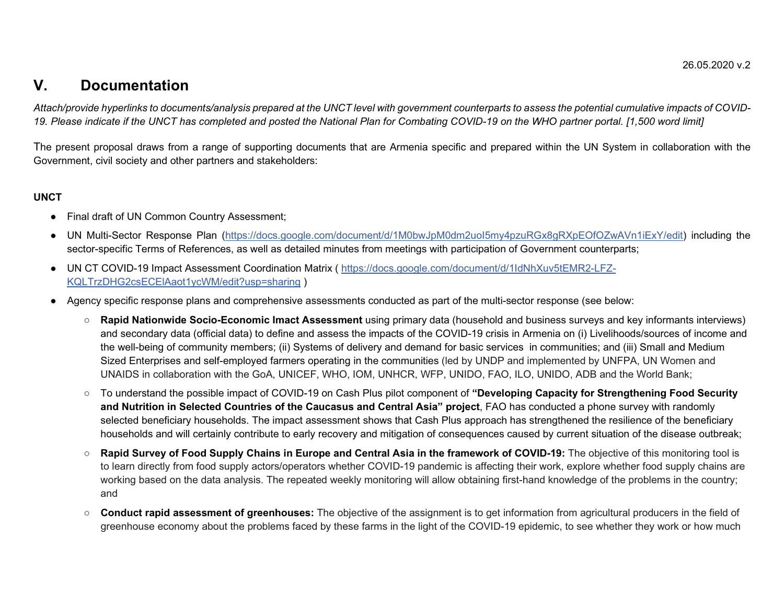## **V. Documentation**

*Attach/provide hyperlinks to documents/analysis prepared at the UNCT level with government counterparts to assess the potential cumulative impacts of COVID-19. Please indicate if the UNCT has completed and posted the National Plan for Combating COVID-19 on the WHO partner portal. [1,500 word limit]*

The present proposal draws from a range of supporting documents that are Armenia specific and prepared within the UN System in collaboration with the Government, civil society and other partners and stakeholders:

### **UNCT**

- Final draft of UN Common Country Assessment;
- UN Multi-Sector Response Plan (https://docs.google.com/document/d/1M0bwJpM0dm2uoI5my4pzuRGx8gRXpEOfOZwAVn1iExY/edit) including the sector-specific Terms of References, as well as detailed minutes from meetings with participation of Government counterparts;
- UN CT COVID-19 Impact Assessment Coordination Matrix ( <u>https://docs.google.com/document/d/1IdNhXuv5tEMR2-LFZ-</u> KQLTrzDHG2csECElAaot1ycWM/edit?usp=sharing )
- Agency specific response plans and comprehensive assessments conducted as part of the multi-sector response (see below:
	- **Rapid Nationwide Socio-Economic Imact Assessment** using primary data (household and business surveys and key informants interviews) and secondary data (official data) to define and assess the impacts of the COVID-19 crisis in Armenia on (i) Livelihoods/sources of income and the well-being of community members; (ii) Systems of delivery and demand for basic services in communities; and (iii) Small and Medium Sized Enterprises and self-employed farmers operating in the communities (led by UNDP and implemented by UNFPA, UN Women and UNAIDS in collaboration with the GoA, UNICEF, WHO, IOM, UNHCR, WFP, UNIDO, FAO, ILO, UNIDO, ADB and the World Bank;
	- To understand the possible impact of COVID-19 on Cash Plus pilot component of **"Developing Capacity for Strengthening Food Security and Nutrition in Selected Countries of the Caucasus and Central Asia" project**, FAO has conducted a phone survey with randomly selected beneficiary households. The impact assessment shows that Cash Plus approach has strengthened the resilience of the beneficiary households and will certainly contribute to early recovery and mitigation of consequences caused by current situation of the disease outbreak;
	- $\circ$  **Rapid Survey of Food Supply Chains in Europe and Central Asia in the framework of COVID-19:** The objective of this monitoring tool is to learn directly from food supply actors/operators whether COVID-19 pandemic is affecting their work, explore whether food supply chains are working based on the data analysis. The repeated weekly monitoring will allow obtaining first-hand knowledge of the problems in the country; and
	- $\circ$  **Conduct rapid assessment of greenhouses:** The objective of the assignment is to get information from agricultural producers in the field of greenhouse economy about the problems faced by these farms in the light of the COVID-19 epidemic, to see whether they work or how much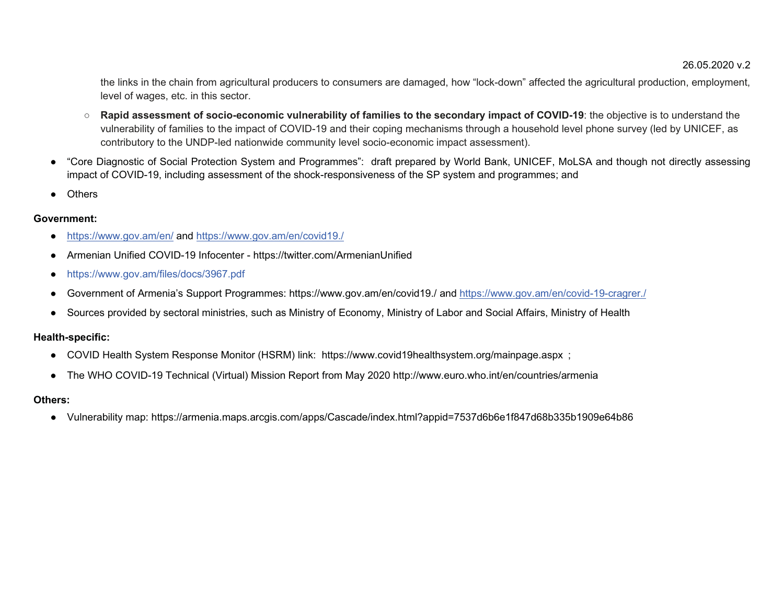the links in the chain from agricultural producers to consumers are damaged, how "lock-down" affected the agricultural production, employment, level of wages, etc. in this sector.

- **Rapid assessment of socio-economic vulnerability of families to the secondary impact of COVID-19**: the objective is to understand the vulnerability of families to the impact of COVID-19 and their coping mechanisms through a household level phone survey (led by UNICEF, as contributory to the UNDP-led nationwide community level socio-economic impact assessment).
- "Core Diagnostic of Social Protection System and Programmes": draft prepared by World Bank, UNICEF, MoLSA and though not directly assessing impact of COVID-19, including assessment of the shock-responsiveness of the SP system and programmes; and
- Others

### **Government:**

- $\bullet$ https://www.gov.am/en/ and https://www.gov.am/en/covid19./
- -Armenian Unified COVID-19 Infocenter - https://twitter.com/ArmenianUnified
- $\bullet$ https://www.gov.am/files/docs/3967.pdf
- -Government of Armenia's Support Programmes: https://www.gov.am/en/covid19./ and https://www.gov.am/en/covid-19-cragrer./
- $\bullet$ Sources provided by sectoral ministries, such as Ministry of Economy, Ministry of Labor and Social Affairs, Ministry of Health

### **Health-specific:**

- COVID Health System Response Monitor (HSRM) link: https://www.covid19healthsystem.org/mainpage.aspx ;
- The WHO COVID-19 Technical (Virtual) Mission Report from May 2020 http://www.euro.who.int/en/countries/armenia

## **Others:**

- Vulnerability map: https://armenia.maps.arcgis.com/apps/Cascade/index.html?appid=7537d6b6e1f847d68b335b1909e64b86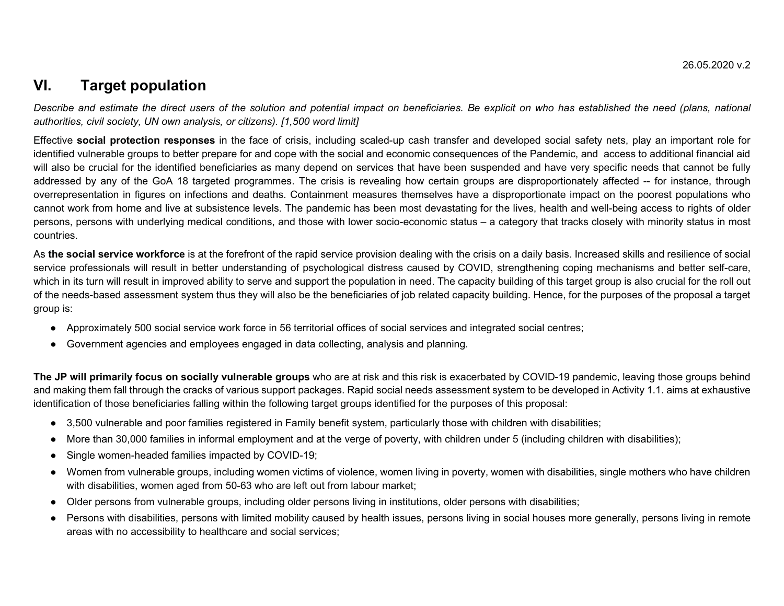## **VI. Target population**

*Describe and estimate the direct users of the solution and potential impact on beneficiaries. Be explicit on who has established the need (plans, national authorities, civil society, UN own analysis, or citizens). [1,500 word limit]*

Effective **social protection responses** in the face of crisis, including scaled-up cash transfer and developed social safety nets, play an important role for identified vulnerable groups to better prepare for and cope with the social and economic consequences of the Pandemic, and access to additional financial aid will also be crucial for the identified beneficiaries as many depend on services that have been suspended and have very specific needs that cannot be fully addressed by any of the GoA 18 targeted programmes. The crisis is revealing how certain groups are disproportionately affected -- for instance, through overrepresentation in figures on infections and deaths. Containment measures themselves have a disproportionate impact on the poorest populations who cannot work from home and live at subsistence levels. The pandemic has been most devastating for the lives, health and well-being access to rights of older persons, persons with underlying medical conditions, and those with lower socio-economic status – a category that tracks closely with minority status in most countries.

As **the social service workforce** is at the forefront of the rapid service provision dealing with the crisis on a daily basis. Increased skills and resilience of social service professionals will result in better understanding of psychological distress caused by COVID, strengthening coping mechanisms and better self-care, which in its turn will result in improved ability to serve and support the population in need. The capacity building of this target group is also crucial for the roll out of the needs-based assessment system thus they will also be the beneficiaries of job related capacity building. Hence, for the purposes of the proposal a target group is:

- Approximately 500 social service work force in 56 territorial offices of social services and integrated social centres;
- Government agencies and employees engaged in data collecting, analysis and planning.

**The JP will primarily focus on socially vulnerable groups** who are at risk and this risk is exacerbated by COVID-19 pandemic, leaving those groups behind and making them fall through the cracks of various support packages. Rapid social needs assessment system to be developed in Activity 1.1. aims at exhaustive identification of those beneficiaries falling within the following target groups identified for the purposes of this proposal:

- 3,500 vulnerable and poor families registered in Family benefit system, particularly those with children with disabilities;
- -More than 30,000 families in informal employment and at the verge of poverty, with children under 5 (including children with disabilities);
- -Single women-headed families impacted by COVID-19;
- Women from vulnerable groups, including women victims of violence, women living in poverty, women with disabilities, single mothers who have children with disabilities, women aged from 50-63 who are left out from labour market;
- $\bullet$ Older persons from vulnerable groups, including older persons living in institutions, older persons with disabilities;
- Persons with disabilities, persons with limited mobility caused by health issues, persons living in social houses more generally, persons living in remote areas with no accessibility to healthcare and social services;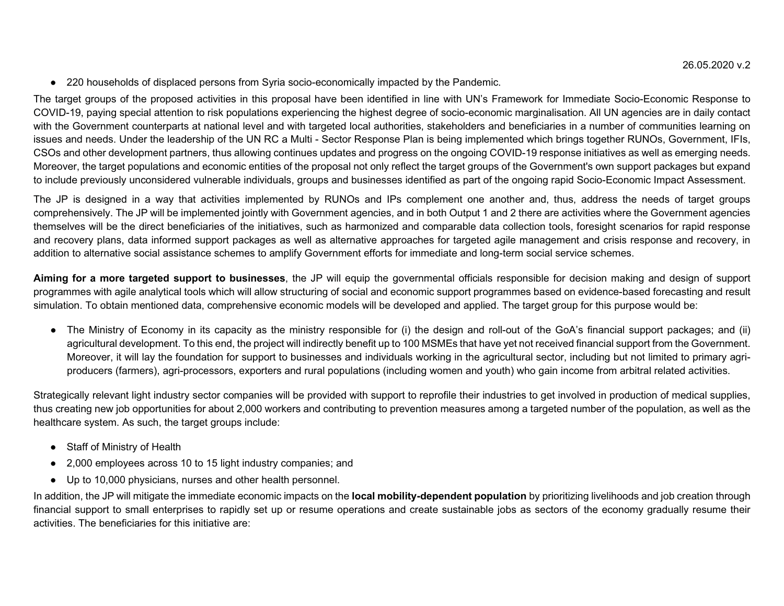- 220 households of displaced persons from Syria socio-economically impacted by the Pandemic.

The target groups of the proposed activities in this proposal have been identified in line with UN's Framework for Immediate Socio-Economic Response to COVID-19, paying special attention to risk populations experiencing the highest degree of socio-economic marginalisation. All UN agencies are in daily contact with the Government counterparts at national level and with targeted local authorities, stakeholders and beneficiaries in a number of communities learning on issues and needs. Under the leadership of the UN RC a Multi - Sector Response Plan is being implemented which brings together RUNOs, Government, IFIs, CSOs and other development partners, thus allowing continues updates and progress on the ongoing COVID-19 response initiatives as well as emerging needs. Moreover, the target populations and economic entities of the proposal not only reflect the target groups of the Government's own support packages but expand to include previously unconsidered vulnerable individuals, groups and businesses identified as part of the ongoing rapid Socio-Economic Impact Assessment.

The JP is designed in a way that activities implemented by RUNOs and IPs complement one another and, thus, address the needs of target groups comprehensively. The JP will be implemented jointly with Government agencies, and in both Output 1 and 2 there are activities where the Government agencies themselves will be the direct beneficiaries of the initiatives, such as harmonized and comparable data collection tools, foresight scenarios for rapid response and recovery plans, data informed support packages as well as alternative approaches for targeted agile management and crisis response and recovery, in addition to alternative social assistance schemes to amplify Government efforts for immediate and long-term social service schemes.

**Aiming for a more targeted support to businesses**, the JP will equip the governmental officials responsible for decision making and design of support programmes with agile analytical tools which will allow structuring of social and economic support programmes based on evidence-based forecasting and result simulation. To obtain mentioned data, comprehensive economic models will be developed and applied. The target group for this purpose would be:

- The Ministry of Economy in its capacity as the ministry responsible for (i) the design and roll-out of the GoA's financial support packages; and (ii) agricultural development. To this end, the project will indirectly benefit up to 100 MSMEs that have yet not received financial support from the Government. Moreover, it will lay the foundation for support to businesses and individuals working in the agricultural sector, including but not limited to primary agriproducers (farmers), agri-processors, exporters and rural populations (including women and youth) who gain income from arbitral related activities.

Strategically relevant light industry sector companies will be provided with support to reprofile their industries to get involved in production of medical supplies, thus creating new job opportunities for about 2,000 workers and contributing to prevention measures among a targeted number of the population, as well as the healthcare system. As such, the target groups include:

- Staff of Ministry of Health
- 2,000 employees across 10 to 15 light industry companies; and
- Up to 10,000 physicians, nurses and other health personnel.

In addition, the JP will mitigate the immediate economic impacts on the **local mobility-dependent population** by prioritizing livelihoods and job creation through financial support to small enterprises to rapidly set up or resume operations and create sustainable jobs as sectors of the economy gradually resume their activities. The beneficiaries for this initiative are: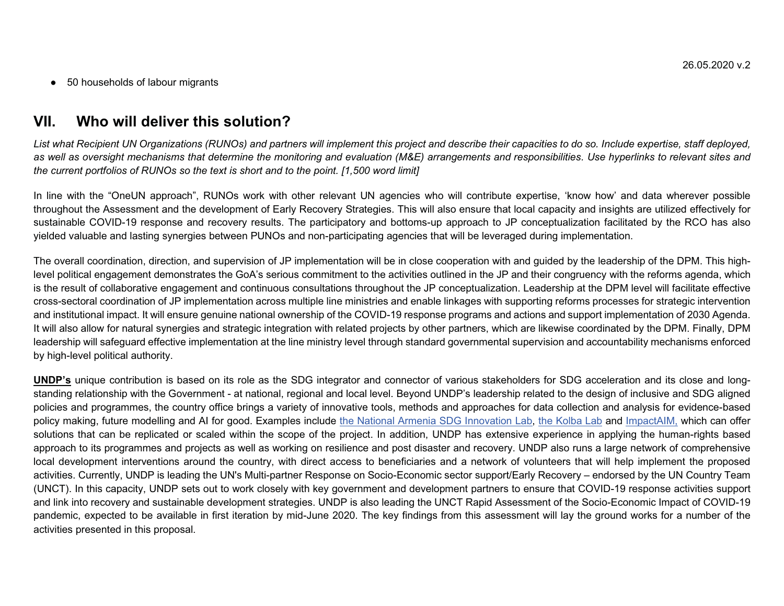- 50 households of labour migrants

## **VII. Who will deliver this solution?**

List what Recipient UN Organizations (RUNOs) and partners will implement this project and describe their capacities to do so. Include expertise, staff deployed, as well as oversight mechanisms that determine the monitoring and evaluation (M&E) arrangements and responsibilities. Use hyperlinks to relevant sites and *the current portfolios of RUNOs so the text is short and to the point. [1,500 word limit]*

In line with the "OneUN approach", RUNOs work with other relevant UN agencies who will contribute expertise, 'know how' and data wherever possible throughout the Assessment and the development of Early Recovery Strategies. This will also ensure that local capacity and insights are utilized effectively for sustainable COVID-19 response and recovery results. The participatory and bottoms-up approach to JP conceptualization facilitated by the RCO has also yielded valuable and lasting synergies between PUNOs and non-participating agencies that will be leveraged during implementation.

The overall coordination, direction, and supervision of JP implementation will be in close cooperation with and guided by the leadership of the DPM. This highlevel political engagement demonstrates the GoA's serious commitment to the activities outlined in the JP and their congruency with the reforms agenda, which is the result of collaborative engagement and continuous consultations throughout the JP conceptualization. Leadership at the DPM level will facilitate effective cross-sectoral coordination of JP implementation across multiple line ministries and enable linkages with supporting reforms processes for strategic intervention and institutional impact. It will ensure genuine national ownership of the COVID-19 response programs and actions and support implementation of 2030 Agenda. It will also allow for natural synergies and strategic integration with related projects by other partners, which are likewise coordinated by the DPM. Finally, DPM leadership will safeguard effective implementation at the line ministry level through standard governmental supervision and accountability mechanisms enforced by high-level political authority.

**UNDP's** unique contribution is based on its role as the SDG integrator and connector of various stakeholders for SDG acceleration and its close and longstanding relationship with the Government - at national, regional and local level. Beyond UNDP's leadership related to the design of inclusive and SDG aligned policies and programmes, the country office brings a variety of innovative tools, methods and approaches for data collection and analysis for evidence-based policy making, future modelling and AI for good. Examples include the National Armenia SDG Innovation Lab, the Kolba Lab and ImpactAIM, which can offer solutions that can be replicated or scaled within the scope of the project. In addition, UNDP has extensive experience in applying the human-rights based approach to its programmes and projects as well as working on resilience and post disaster and recovery. UNDP also runs a large network of comprehensive local development interventions around the country, with direct access to beneficiaries and a network of volunteers that will help implement the proposed activities. Currently, UNDP is leading the UN's Multi-partner Response on Socio-Economic sector support/Early Recovery – endorsed by the UN Country Team (UNCT). In this capacity, UNDP sets out to work closely with key government and development partners to ensure that COVID-19 response activities support and link into recovery and sustainable development strategies. UNDP is also leading the UNCT Rapid Assessment of the Socio-Economic Impact of COVID-19 pandemic, expected to be available in first iteration by mid-June 2020. The key findings from this assessment will lay the ground works for a number of the activities presented in this proposal.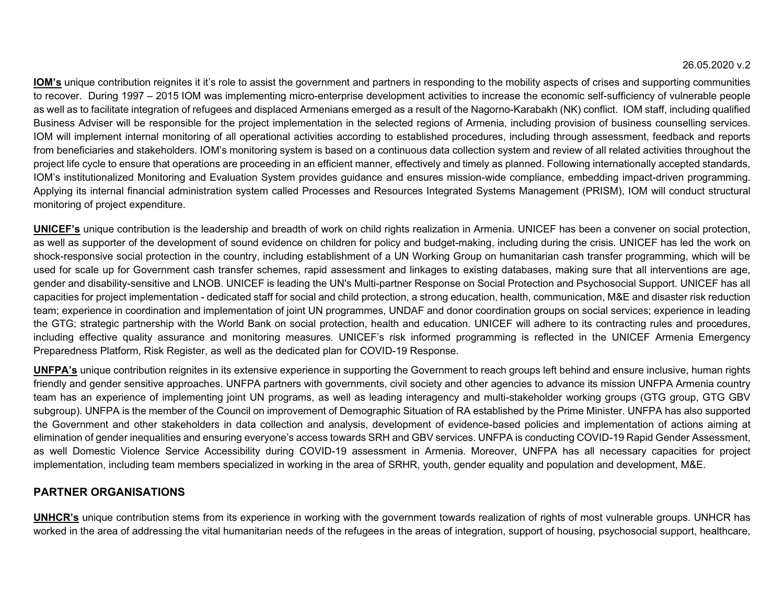**IOM's** unique contribution reignites it it's role to assist the government and partners in responding to the mobility aspects of crises and supporting communities to recover. During 1997 – 2015 IOM was implementing micro-enterprise development activities to increase the economic self-sufficiency of vulnerable people as well as to facilitate integration of refugees and displaced Armenians emerged as a result of the Nagorno-Karabakh (NK) conflict. IOM staff, including qualified Business Adviser will be responsible for the project implementation in the selected regions of Armenia, including provision of business counselling services. IOM will implement internal monitoring of all operational activities according to established procedures, including through assessment, feedback and reports from beneficiaries and stakeholders. IOM's monitoring system is based on a continuous data collection system and review of all related activities throughout the project life cycle to ensure that operations are proceeding in an efficient manner, effectively and timely as planned. Following internationally accepted standards, IOM's institutionalized Monitoring and Evaluation System provides guidance and ensures mission-wide compliance, embedding impact-driven programming. Applying its internal financial administration system called Processes and Resources Integrated Systems Management (PRISM), IOM will conduct structural monitoring of project expenditure.

**UNICEF's** unique contribution is the leadership and breadth of work on child rights realization in Armenia. UNICEF has been a convener on social protection, as well as supporter of the development of sound evidence on children for policy and budget-making, including during the crisis. UNICEF has led the work on shock-responsive social protection in the country, including establishment of a UN Working Group on humanitarian cash transfer programming, which will be used for scale up for Government cash transfer schemes, rapid assessment and linkages to existing databases, making sure that all interventions are age, gender and disability-sensitive and LNOB. UNICEF is leading the UN's Multi-partner Response on Social Protection and Psychosocial Support. UNICEF has all capacities for project implementation - dedicated staff for social and child protection, a strong education, health, communication, M&E and disaster risk reduction team; experience in coordination and implementation of joint UN programmes, UNDAF and donor coordination groups on social services; experience in leading the GTG; strategic partnership with the World Bank on social protection, health and education. UNICEF will adhere to its contracting rules and procedures, including effective quality assurance and monitoring measures. UNICEF's risk informed programming is reflected in the UNICEF Armenia Emergency Preparedness Platform, Risk Register, as well as the dedicated plan for COVID-19 Response.

**UNFPA's** unique contribution reignites in its extensive experience in supporting the Government to reach groups left behind and ensure inclusive, human rights friendly and gender sensitive approaches. UNFPA partners with governments, civil society and other agencies to advance its mission UNFPA Armenia country team has an experience of implementing joint UN programs, as well as leading interagency and multi-stakeholder working groups (GTG group, GTG GBV subgroup). UNFPA is the member of the Council on improvement of Demographic Situation of RA established by the Prime Minister. UNFPA has also supported the Government and other stakeholders in data collection and analysis, development of evidence-based policies and implementation of actions aiming at elimination of gender inequalities and ensuring everyone's access towards SRH and GBV services. UNFPA is conducting COVID-19 Rapid Gender Assessment, as well Domestic Violence Service Accessibility during COVID-19 assessment in Armenia. Moreover, UNFPA has all necessary capacities for project implementation, including team members specialized in working in the area of SRHR, youth, gender equality and population and development, M&E.

### **PARTNER ORGANISATIONS**

**UNHCR's** unique contribution stems from its experience in working with the government towards realization of rights of most vulnerable groups. UNHCR has worked in the area of addressing the vital humanitarian needs of the refugees in the areas of integration, support of housing, psychosocial support, healthcare,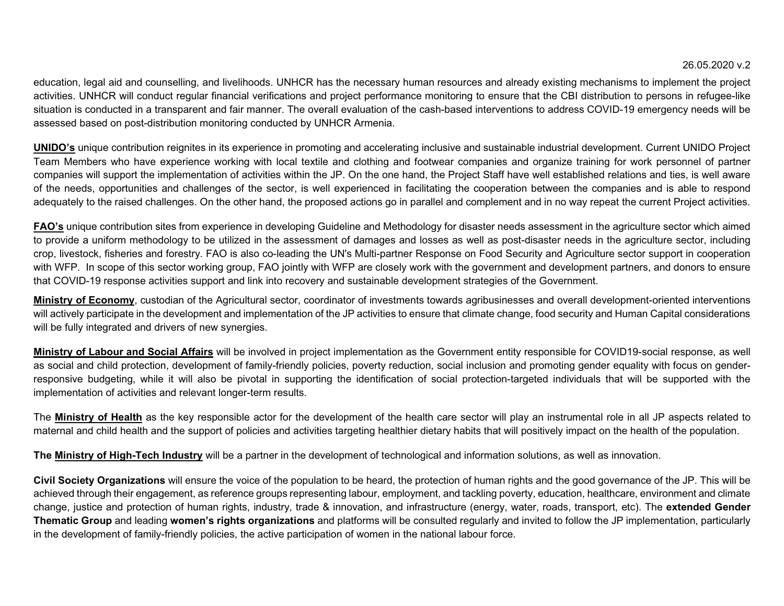education, legal aid and counselling, and livelihoods. UNHCR has the necessary human resources and already existing mechanisms to implement the project activities. UNHCR will conduct regular financial verifications and project performance monitoring to ensure that the CBI distribution to persons in refugee-like situation is conducted in a transparent and fair manner. The overall evaluation of the cash-based interventions to address COVID-19 emergency needs will be assessed based on post-distribution monitoring conducted by UNHCR Armenia.

**UNIDO's** unique contribution reignites in its experience in promoting and accelerating inclusive and sustainable industrial development. Current UNIDO Project Team Members who have experience working with local textile and clothing and footwear companies and organize training for work personnel of partner companies will support the implementation of activities within the JP. On the one hand, the Project Staff have well established relations and ties, is well aware of the needs, opportunities and challenges of the sector, is well experienced in facilitating the cooperation between the companies and is able to respond adequately to the raised challenges. On the other hand, the proposed actions go in parallel and complement and in no way repeat the current Project activities.

**FAO's** unique contribution sites from experience in developing Guideline and Methodology for disaster needs assessment in the agriculture sector which aimed to provide a uniform methodology to be utilized in the assessment of damages and losses as well as post-disaster needs in the agriculture sector, including crop, livestock, fisheries and forestry. FAO is also co-leading the UN's Multi-partner Response on Food Security and Agriculture sector support in cooperation with WFP. In scope of this sector working group, FAO jointly with WFP are closely work with the government and development partners, and donors to ensure that COVID-19 response activities support and link into recovery and sustainable development strategies of the Government.

**Ministry of Economy**, custodian of the Agricultural sector, coordinator of investments towards agribusinesses and overall development-oriented interventions will actively participate in the development and implementation of the JP activities to ensure that climate change, food security and Human Capital considerations will be fully integrated and drivers of new synergies.

**Ministry of Labour and Social Affairs** will be involved in project implementation as the Government entity responsible for COVID19-social response, as well as social and child protection, development of family-friendly policies, poverty reduction, social inclusion and promoting gender equality with focus on genderresponsive budgeting, while it will also be pivotal in supporting the identification of social protection-targeted individuals that will be supported with the implementation of activities and relevant longer-term results.

The **Ministry of Health** as the key responsible actor for the development of the health care sector will play an instrumental role in all JP aspects related to maternal and child health and the support of policies and activities targeting healthier dietary habits that will positively impact on the health of the population.

**The Ministry of High-Tech Industry** will be a partner in the development of technological and information solutions, as well as innovation.

**Civil Society Organizations** will ensure the voice of the population to be heard, the protection of human rights and the good governance of the JP. This will be achieved through their engagement, as reference groups representing labour, employment, and tackling poverty, education, healthcare, environment and climate change, justice and protection of human rights, industry, trade & innovation, and infrastructure (energy, water, roads, transport, etc). The **extended Gender Thematic Group** and leading **women's rights organizations** and platforms will be consulted regularly and invited to follow the JP implementation, particularly in the development of family-friendly policies, the active participation of women in the national labour force.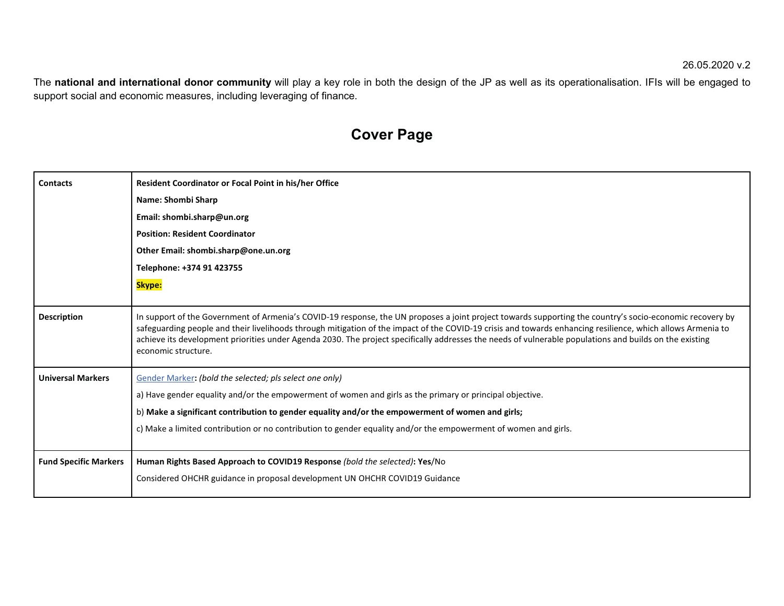The **national and international donor community** will play a key role in both the design of the JP as well as its operationalisation. IFIs will be engaged to support social and economic measures, including leveraging of finance.

# **Cover Page**

| <b>Contacts</b>              | <b>Resident Coordinator or Focal Point in his/her Office</b>                                                                                                                                                                                                                                                                                                                                                                                                                                              |
|------------------------------|-----------------------------------------------------------------------------------------------------------------------------------------------------------------------------------------------------------------------------------------------------------------------------------------------------------------------------------------------------------------------------------------------------------------------------------------------------------------------------------------------------------|
|                              | Name: Shombi Sharp                                                                                                                                                                                                                                                                                                                                                                                                                                                                                        |
|                              | Email: shombi.sharp@un.org                                                                                                                                                                                                                                                                                                                                                                                                                                                                                |
|                              | <b>Position: Resident Coordinator</b>                                                                                                                                                                                                                                                                                                                                                                                                                                                                     |
|                              | Other Email: shombi.sharp@one.un.org                                                                                                                                                                                                                                                                                                                                                                                                                                                                      |
|                              | Telephone: +374 91 423755                                                                                                                                                                                                                                                                                                                                                                                                                                                                                 |
|                              | Skype:                                                                                                                                                                                                                                                                                                                                                                                                                                                                                                    |
|                              |                                                                                                                                                                                                                                                                                                                                                                                                                                                                                                           |
| <b>Description</b>           | In support of the Government of Armenia's COVID-19 response, the UN proposes a joint project towards supporting the country's socio-economic recovery by<br>safeguarding people and their livelihoods through mitigation of the impact of the COVID-19 crisis and towards enhancing resilience, which allows Armenia to<br>achieve its development priorities under Agenda 2030. The project specifically addresses the needs of vulnerable populations and builds on the existing<br>economic structure. |
| <b>Universal Markers</b>     | Gender Marker: (bold the selected; pls select one only)                                                                                                                                                                                                                                                                                                                                                                                                                                                   |
|                              | a) Have gender equality and/or the empowerment of women and girls as the primary or principal objective.                                                                                                                                                                                                                                                                                                                                                                                                  |
|                              | b) Make a significant contribution to gender equality and/or the empowerment of women and girls;                                                                                                                                                                                                                                                                                                                                                                                                          |
|                              | c) Make a limited contribution or no contribution to gender equality and/or the empowerment of women and girls.                                                                                                                                                                                                                                                                                                                                                                                           |
|                              |                                                                                                                                                                                                                                                                                                                                                                                                                                                                                                           |
| <b>Fund Specific Markers</b> | Human Rights Based Approach to COVID19 Response (bold the selected): Yes/No                                                                                                                                                                                                                                                                                                                                                                                                                               |
|                              | Considered OHCHR guidance in proposal development UN OHCHR COVID19 Guidance                                                                                                                                                                                                                                                                                                                                                                                                                               |
|                              |                                                                                                                                                                                                                                                                                                                                                                                                                                                                                                           |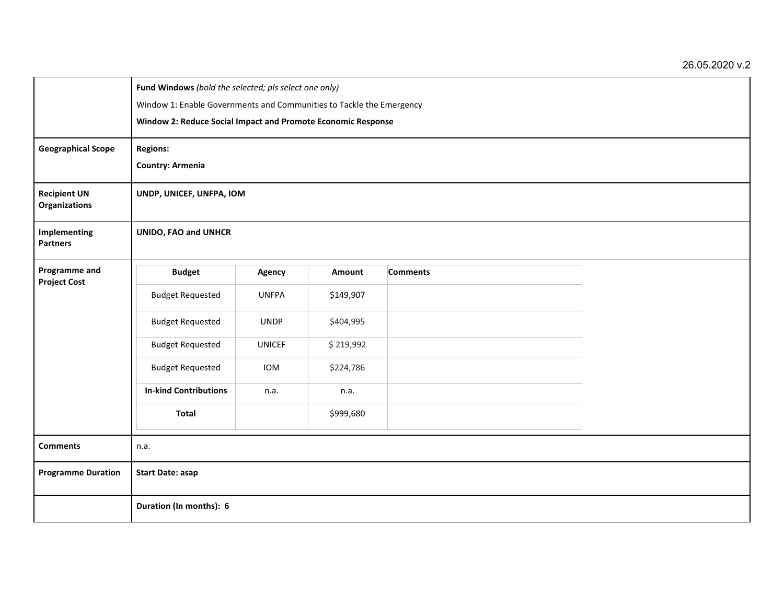|                                             | Fund Windows (bold the selected; pls select one only)<br>Window 1: Enable Governments and Communities to Tackle the Emergency<br>Window 2: Reduce Social Impact and Promote Economic Response |               |               |                 |  |  |  |  |
|---------------------------------------------|-----------------------------------------------------------------------------------------------------------------------------------------------------------------------------------------------|---------------|---------------|-----------------|--|--|--|--|
| <b>Geographical Scope</b>                   | <b>Regions:</b><br><b>Country: Armenia</b>                                                                                                                                                    |               |               |                 |  |  |  |  |
| <b>Recipient UN</b><br><b>Organizations</b> | UNDP, UNICEF, UNFPA, IOM                                                                                                                                                                      |               |               |                 |  |  |  |  |
| Implementing<br><b>Partners</b>             | <b>UNIDO, FAO and UNHCR</b>                                                                                                                                                                   |               |               |                 |  |  |  |  |
| Programme and<br><b>Project Cost</b>        | <b>Budget</b>                                                                                                                                                                                 | Agency        | <b>Amount</b> | <b>Comments</b> |  |  |  |  |
|                                             | <b>Budget Requested</b>                                                                                                                                                                       | <b>UNFPA</b>  | \$149,907     |                 |  |  |  |  |
|                                             | <b>Budget Requested</b>                                                                                                                                                                       | <b>UNDP</b>   | \$404,995     |                 |  |  |  |  |
|                                             | <b>Budget Requested</b>                                                                                                                                                                       | <b>UNICEF</b> | \$219,992     |                 |  |  |  |  |
|                                             | <b>Budget Requested</b>                                                                                                                                                                       | <b>IOM</b>    | \$224,786     |                 |  |  |  |  |
|                                             | <b>In-kind Contributions</b>                                                                                                                                                                  | n.a.          | n.a.          |                 |  |  |  |  |
|                                             | <b>Total</b>                                                                                                                                                                                  |               | \$999,680     |                 |  |  |  |  |
| <b>Comments</b>                             | n.a.                                                                                                                                                                                          |               |               |                 |  |  |  |  |
| <b>Programme Duration</b>                   | <b>Start Date: asap</b>                                                                                                                                                                       |               |               |                 |  |  |  |  |
|                                             | Duration (In months): 6                                                                                                                                                                       |               |               |                 |  |  |  |  |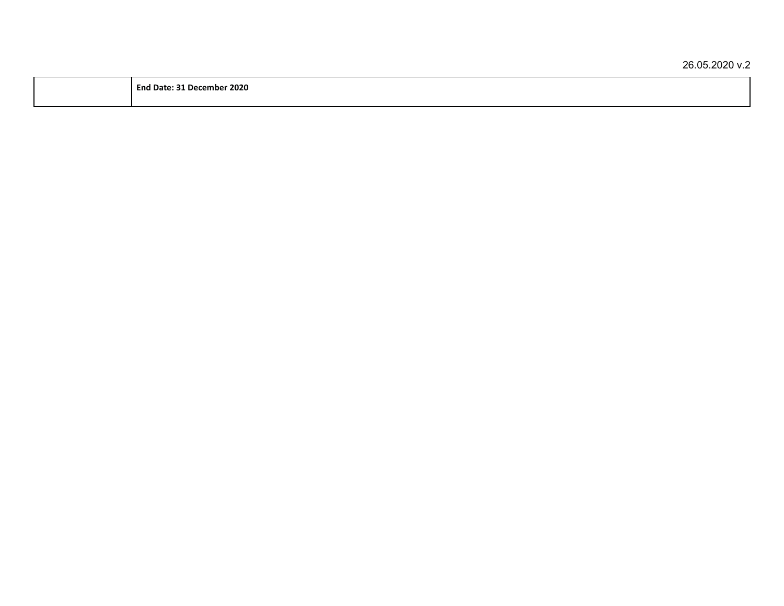| - - - -<br>2020 |       |  |  |
|-----------------|-------|--|--|
|                 |       |  |  |
|                 | mber: |  |  |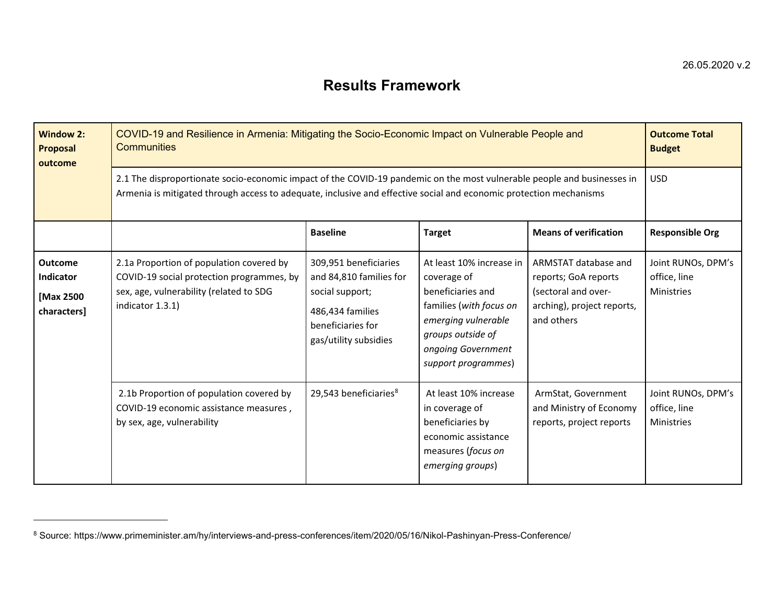## **Results Framework**

| <b>Window 2:</b><br><b>Proposal</b><br>outcome          | COVID-19 and Resilience in Armenia: Mitigating the Socio-Economic Impact on Vulnerable People and<br><b>Communities</b>                                                                                                                       |                                                                                                                                       |                                                                                                                                                                                  |                                                                                                                 |                                                         |  |  |
|---------------------------------------------------------|-----------------------------------------------------------------------------------------------------------------------------------------------------------------------------------------------------------------------------------------------|---------------------------------------------------------------------------------------------------------------------------------------|----------------------------------------------------------------------------------------------------------------------------------------------------------------------------------|-----------------------------------------------------------------------------------------------------------------|---------------------------------------------------------|--|--|
|                                                         | 2.1 The disproportionate socio-economic impact of the COVID-19 pandemic on the most vulnerable people and businesses in<br>Armenia is mitigated through access to adequate, inclusive and effective social and economic protection mechanisms | <b>USD</b>                                                                                                                            |                                                                                                                                                                                  |                                                                                                                 |                                                         |  |  |
|                                                         |                                                                                                                                                                                                                                               | <b>Baseline</b>                                                                                                                       | <b>Target</b>                                                                                                                                                                    | <b>Means of verification</b>                                                                                    | <b>Responsible Org</b>                                  |  |  |
| <b>Outcome</b><br>Indicator<br>[Max 2500<br>characters] | 2.1a Proportion of population covered by<br>COVID-19 social protection programmes, by<br>sex, age, vulnerability (related to SDG<br>indicator 1.3.1)                                                                                          | 309,951 beneficiaries<br>and 84,810 families for<br>social support;<br>486,434 families<br>beneficiaries for<br>gas/utility subsidies | At least 10% increase in<br>coverage of<br>beneficiaries and<br>families (with focus on<br>emerging vulnerable<br>groups outside of<br>ongoing Government<br>support programmes) | ARMSTAT database and<br>reports; GoA reports<br>(sectoral and over-<br>arching), project reports,<br>and others | Joint RUNOs, DPM's<br>office, line<br><b>Ministries</b> |  |  |
|                                                         | 2.1b Proportion of population covered by<br>COVID-19 economic assistance measures,<br>by sex, age, vulnerability                                                                                                                              | 29,543 beneficiaries <sup>8</sup>                                                                                                     | At least 10% increase<br>in coverage of<br>beneficiaries by<br>economic assistance<br>measures (focus on<br>emerging groups)                                                     | ArmStat, Government<br>and Ministry of Economy<br>reports, project reports                                      | Joint RUNOs, DPM's<br>office, line<br><b>Ministries</b> |  |  |

 $^8$  Source: https://www.primeminister.am/hy/interviews-and-press-conferences/item/2020/05/16/Nikol-Pashinyan-Press-Conference/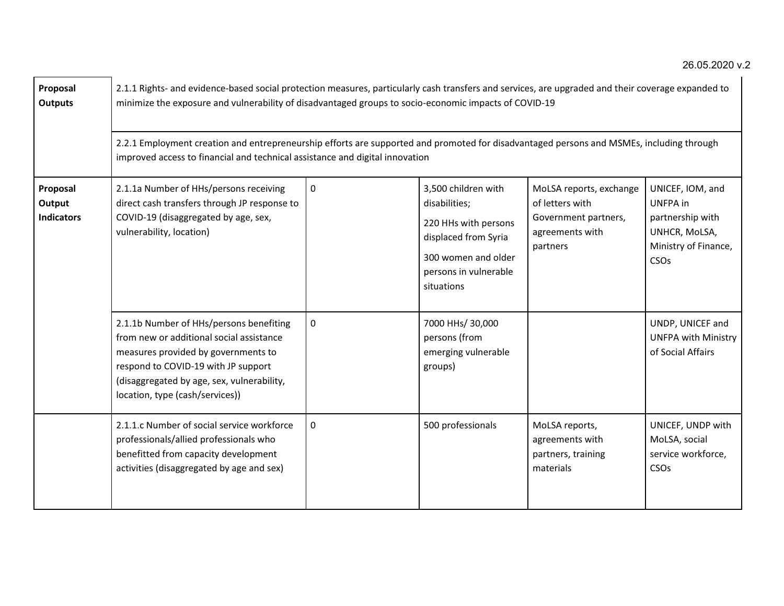| Proposal<br><b>Outputs</b>              | 2.1.1 Rights- and evidence-based social protection measures, particularly cash transfers and services, are upgraded and their coverage expanded to<br>minimize the exposure and vulnerability of disadvantaged groups to socio-economic impacts of COVID-19<br>2.2.1 Employment creation and entrepreneurship efforts are supported and promoted for disadvantaged persons and MSMEs, including through<br>improved access to financial and technical assistance and digital innovation |             |                                                                                                                                                    |                                                                                                   |                                                                                                                     |  |  |  |  |
|-----------------------------------------|-----------------------------------------------------------------------------------------------------------------------------------------------------------------------------------------------------------------------------------------------------------------------------------------------------------------------------------------------------------------------------------------------------------------------------------------------------------------------------------------|-------------|----------------------------------------------------------------------------------------------------------------------------------------------------|---------------------------------------------------------------------------------------------------|---------------------------------------------------------------------------------------------------------------------|--|--|--|--|
| Proposal<br>Output<br><b>Indicators</b> | 2.1.1a Number of HHs/persons receiving<br>direct cash transfers through JP response to<br>COVID-19 (disaggregated by age, sex,<br>vulnerability, location)                                                                                                                                                                                                                                                                                                                              | $\mathbf 0$ | 3,500 children with<br>disabilities;<br>220 HHs with persons<br>displaced from Syria<br>300 women and older<br>persons in vulnerable<br>situations | MoLSA reports, exchange<br>of letters with<br>Government partners,<br>agreements with<br>partners | UNICEF, IOM, and<br>UNFPA in<br>partnership with<br>UNHCR, MoLSA,<br>Ministry of Finance,<br><b>CSO<sub>s</sub></b> |  |  |  |  |
|                                         | 2.1.1b Number of HHs/persons benefiting<br>from new or additional social assistance<br>measures provided by governments to<br>respond to COVID-19 with JP support<br>(disaggregated by age, sex, vulnerability,<br>location, type (cash/services))                                                                                                                                                                                                                                      | $\mathbf 0$ | 7000 HHs/ 30,000<br>persons (from<br>emerging vulnerable<br>groups)                                                                                |                                                                                                   | UNDP, UNICEF and<br><b>UNFPA with Ministry</b><br>of Social Affairs                                                 |  |  |  |  |
|                                         | 2.1.1.c Number of social service workforce<br>professionals/allied professionals who<br>benefitted from capacity development<br>activities (disaggregated by age and sex)                                                                                                                                                                                                                                                                                                               | $\mathbf 0$ | 500 professionals                                                                                                                                  | MoLSA reports,<br>agreements with<br>partners, training<br>materials                              | UNICEF, UNDP with<br>MoLSA, social<br>service workforce,<br><b>CSO<sub>s</sub></b>                                  |  |  |  |  |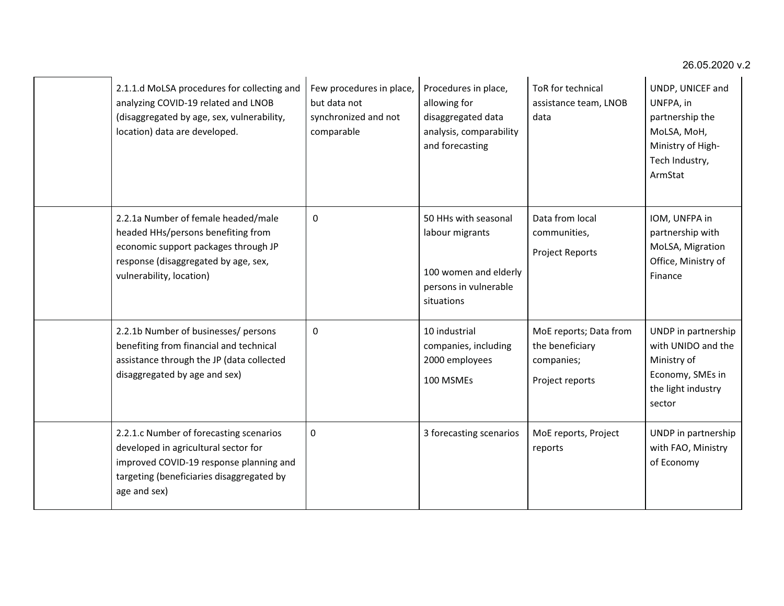| 2.1.1.d MoLSA procedures for collecting and<br>analyzing COVID-19 related and LNOB<br>(disaggregated by age, sex, vulnerability,<br>location) data are developed.                       | Few procedures in place,<br>but data not<br>synchronized and not<br>comparable | Procedures in place,<br>allowing for<br>disaggregated data<br>analysis, comparability<br>and forecasting | ToR for technical<br>assistance team, LNOB<br>data                         | UNDP, UNICEF and<br>UNFPA, in<br>partnership the<br>MoLSA, MoH,<br>Ministry of High-<br>Tech Industry,<br>ArmStat |
|-----------------------------------------------------------------------------------------------------------------------------------------------------------------------------------------|--------------------------------------------------------------------------------|----------------------------------------------------------------------------------------------------------|----------------------------------------------------------------------------|-------------------------------------------------------------------------------------------------------------------|
| 2.2.1a Number of female headed/male<br>headed HHs/persons benefiting from<br>economic support packages through JP<br>response (disaggregated by age, sex,<br>vulnerability, location)   | 0                                                                              | 50 HHs with seasonal<br>labour migrants<br>100 women and elderly<br>persons in vulnerable<br>situations  | Data from local<br>communities,<br><b>Project Reports</b>                  | IOM, UNFPA in<br>partnership with<br>MoLSA, Migration<br>Office, Ministry of<br>Finance                           |
| 2.2.1b Number of businesses/ persons<br>benefiting from financial and technical<br>assistance through the JP (data collected<br>disaggregated by age and sex)                           | $\mathbf{0}$                                                                   | 10 industrial<br>companies, including<br>2000 employees<br>100 MSMEs                                     | MoE reports; Data from<br>the beneficiary<br>companies;<br>Project reports | UNDP in partnership<br>with UNIDO and the<br>Ministry of<br>Economy, SMEs in<br>the light industry<br>sector      |
| 2.2.1.c Number of forecasting scenarios<br>developed in agricultural sector for<br>improved COVID-19 response planning and<br>targeting (beneficiaries disaggregated by<br>age and sex) | $\pmb{0}$                                                                      | 3 forecasting scenarios                                                                                  | MoE reports, Project<br>reports                                            | UNDP in partnership<br>with FAO, Ministry<br>of Economy                                                           |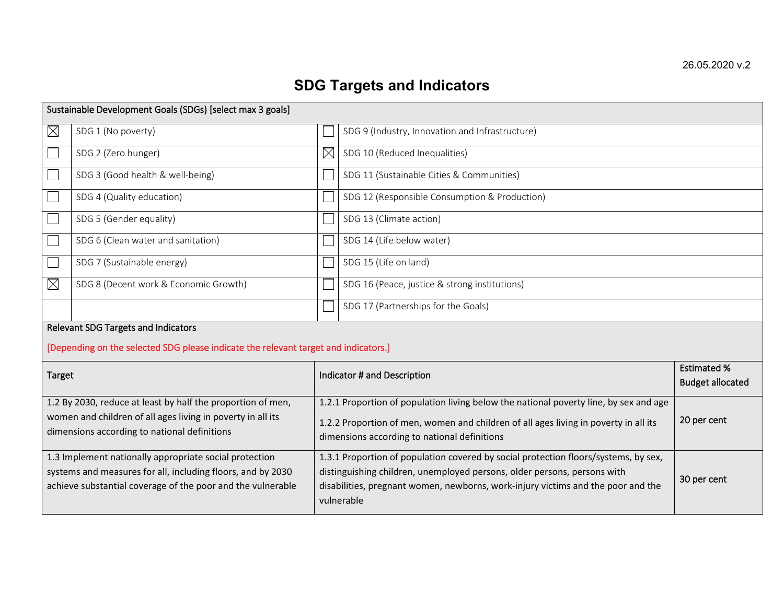# **SDG Targets and Indicators**

|                                                        | Sustainable Development Goals (SDGs) [select max 3 goals]                                                                  |                                                                                                                                                                                           |                                                                                                                                      |                                               |  |  |  |
|--------------------------------------------------------|----------------------------------------------------------------------------------------------------------------------------|-------------------------------------------------------------------------------------------------------------------------------------------------------------------------------------------|--------------------------------------------------------------------------------------------------------------------------------------|-----------------------------------------------|--|--|--|
| $\boxtimes$                                            | SDG 1 (No poverty)                                                                                                         | SDG 9 (Industry, Innovation and Infrastructure)                                                                                                                                           |                                                                                                                                      |                                               |  |  |  |
|                                                        | SDG 2 (Zero hunger)                                                                                                        | $\boxtimes$                                                                                                                                                                               | SDG 10 (Reduced Inequalities)                                                                                                        |                                               |  |  |  |
|                                                        | SDG 3 (Good health & well-being)                                                                                           |                                                                                                                                                                                           | SDG 11 (Sustainable Cities & Communities)                                                                                            |                                               |  |  |  |
|                                                        | SDG 4 (Quality education)                                                                                                  |                                                                                                                                                                                           | SDG 12 (Responsible Consumption & Production)                                                                                        |                                               |  |  |  |
| $\overline{\phantom{a}}$                               | SDG 5 (Gender equality)                                                                                                    |                                                                                                                                                                                           | SDG 13 (Climate action)                                                                                                              |                                               |  |  |  |
| └                                                      | SDG 6 (Clean water and sanitation)                                                                                         |                                                                                                                                                                                           | SDG 14 (Life below water)                                                                                                            |                                               |  |  |  |
| $\Box$                                                 | SDG 7 (Sustainable energy)                                                                                                 | SDG 15 (Life on land)                                                                                                                                                                     |                                                                                                                                      |                                               |  |  |  |
| $\boxtimes$                                            | SDG 8 (Decent work & Economic Growth)                                                                                      | SDG 16 (Peace, justice & strong institutions)                                                                                                                                             |                                                                                                                                      |                                               |  |  |  |
|                                                        |                                                                                                                            | SDG 17 (Partnerships for the Goals)                                                                                                                                                       |                                                                                                                                      |                                               |  |  |  |
|                                                        | Relevant SDG Targets and Indicators<br>[Depending on the selected SDG please indicate the relevant target and indicators.] |                                                                                                                                                                                           |                                                                                                                                      |                                               |  |  |  |
| <b>Target</b>                                          |                                                                                                                            |                                                                                                                                                                                           | Indicator # and Description                                                                                                          | <b>Estimated %</b><br><b>Budget allocated</b> |  |  |  |
|                                                        | 1.2 By 2030, reduce at least by half the proportion of men,                                                                |                                                                                                                                                                                           | 1.2.1 Proportion of population living below the national poverty line, by sex and age                                                |                                               |  |  |  |
|                                                        | women and children of all ages living in poverty in all its<br>dimensions according to national definitions                |                                                                                                                                                                                           | 1.2.2 Proportion of men, women and children of all ages living in poverty in all its<br>dimensions according to national definitions | 20 per cent                                   |  |  |  |
| 1.3 Implement nationally appropriate social protection |                                                                                                                            |                                                                                                                                                                                           | 1.3.1 Proportion of population covered by social protection floors/systems, by sex,                                                  |                                               |  |  |  |
|                                                        | systems and measures for all, including floors, and by 2030<br>achieve substantial coverage of the poor and the vulnerable | distinguishing children, unemployed persons, older persons, persons with<br>30 per cent<br>disabilities, pregnant women, newborns, work-injury victims and the poor and the<br>vulnerable |                                                                                                                                      |                                               |  |  |  |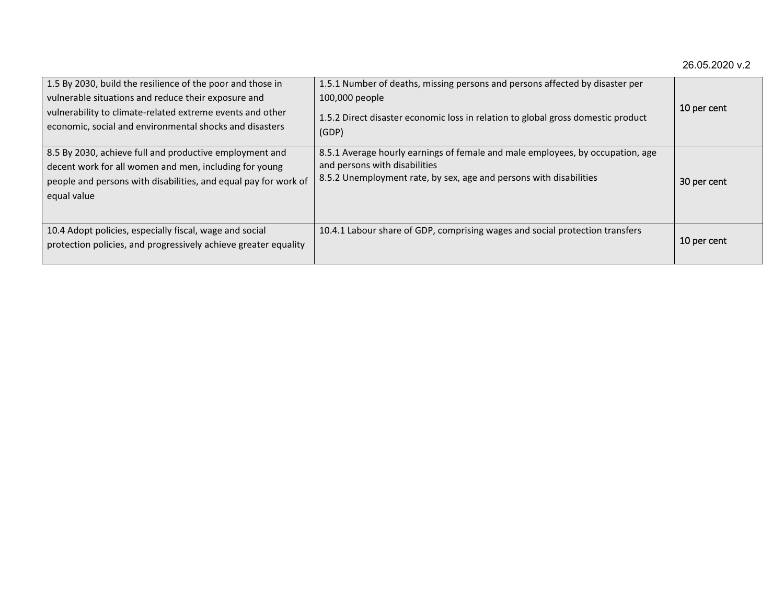| 1.5 By 2030, build the resilience of the poor and those in<br>vulnerable situations and reduce their exposure and<br>vulnerability to climate-related extreme events and other<br>economic, social and environmental shocks and disasters | 1.5.1 Number of deaths, missing persons and persons affected by disaster per<br>100,000 people<br>1.5.2 Direct disaster economic loss in relation to global gross domestic product<br>(GDP) | 10 per cent |
|-------------------------------------------------------------------------------------------------------------------------------------------------------------------------------------------------------------------------------------------|---------------------------------------------------------------------------------------------------------------------------------------------------------------------------------------------|-------------|
| 8.5 By 2030, achieve full and productive employment and<br>decent work for all women and men, including for young<br>people and persons with disabilities, and equal pay for work of<br>equal value                                       | 8.5.1 Average hourly earnings of female and male employees, by occupation, age<br>and persons with disabilities<br>8.5.2 Unemployment rate, by sex, age and persons with disabilities       | 30 per cent |
| 10.4 Adopt policies, especially fiscal, wage and social<br>protection policies, and progressively achieve greater equality                                                                                                                | 10.4.1 Labour share of GDP, comprising wages and social protection transfers                                                                                                                | 10 per cent |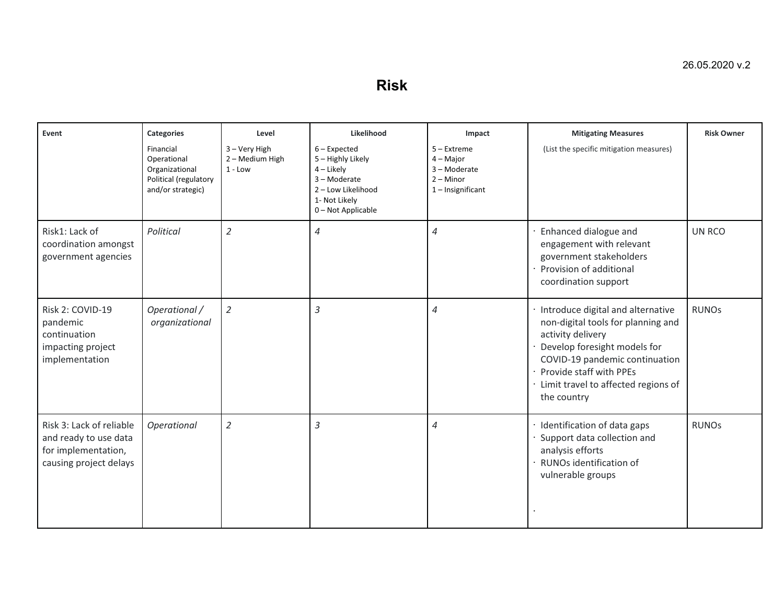**Risk**

| Event                                                                                              | <b>Categories</b>                                                                        | Level                                         | Likelihood                                                                                                                       | Impact                                                                           | <b>Mitigating Measures</b>                                                                                                                                                                                                                          | <b>Risk Owner</b> |
|----------------------------------------------------------------------------------------------------|------------------------------------------------------------------------------------------|-----------------------------------------------|----------------------------------------------------------------------------------------------------------------------------------|----------------------------------------------------------------------------------|-----------------------------------------------------------------------------------------------------------------------------------------------------------------------------------------------------------------------------------------------------|-------------------|
|                                                                                                    | Financial<br>Operational<br>Organizational<br>Political (regulatory<br>and/or strategic) | 3 - Very High<br>2 - Medium High<br>$1 - Low$ | $6$ – Expected<br>5 - Highly Likely<br>$4$ – Likely<br>3 - Moderate<br>2 - Low Likelihood<br>1- Not Likely<br>0 - Not Applicable | 5 - Extreme<br>$4 -$ Major<br>3 - Moderate<br>$2 -$ Minor<br>$1$ – Insignificant | (List the specific mitigation measures)                                                                                                                                                                                                             |                   |
| Risk1: Lack of<br>coordination amongst<br>government agencies                                      | Political                                                                                | $\overline{2}$                                | $\overline{4}$                                                                                                                   | 4                                                                                | Enhanced dialogue and<br>engagement with relevant<br>government stakeholders<br>Provision of additional<br>coordination support                                                                                                                     | UN RCO            |
| Risk 2: COVID-19<br>pandemic<br>continuation<br>impacting project<br>implementation                | Operational /<br>organizational                                                          | $\overline{2}$                                | $\overline{3}$                                                                                                                   | $\overline{4}$                                                                   | · Introduce digital and alternative<br>non-digital tools for planning and<br>activity delivery<br>Develop foresight models for<br>COVID-19 pandemic continuation<br>Provide staff with PPEs<br>· Limit travel to affected regions of<br>the country | <b>RUNOs</b>      |
| Risk 3: Lack of reliable<br>and ready to use data<br>for implementation,<br>causing project delays | Operational                                                                              | $\overline{2}$                                | $\overline{3}$                                                                                                                   | 4                                                                                | · Identification of data gaps<br>Support data collection and<br>analysis efforts<br>RUNOs identification of<br>vulnerable groups                                                                                                                    | <b>RUNOs</b>      |